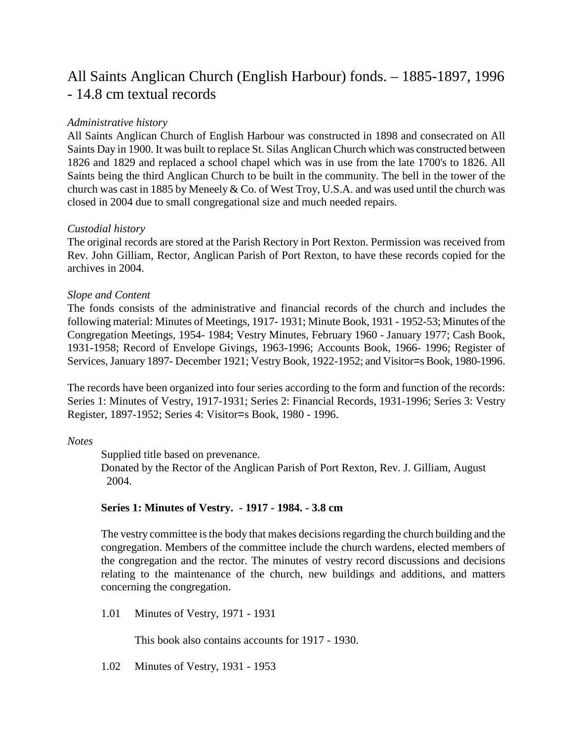# All Saints Anglican Church (English Harbour) fonds. – 1885-1897, 1996 - 14.8 cm textual records

# *Administrative history*

All Saints Anglican Church of English Harbour was constructed in 1898 and consecrated on All Saints Day in 1900. It was built to replace St. Silas Anglican Church which was constructed between 1826 and 1829 and replaced a school chapel which was in use from the late 1700's to 1826. All Saints being the third Anglican Church to be built in the community. The bell in the tower of the church was cast in 1885 by Meneely & Co. of West Troy, U.S.A. and was used until the church was closed in 2004 due to small congregational size and much needed repairs.

# *Custodial history*

The original records are stored at the Parish Rectory in Port Rexton. Permission was received from Rev. John Gilliam, Rector, Anglican Parish of Port Rexton, to have these records copied for the archives in 2004.

# *Slope and Content*

The fonds consists of the administrative and financial records of the church and includes the following material: Minutes of Meetings, 1917- 1931; Minute Book, 1931 - 1952-53; Minutes of the Congregation Meetings, 1954- 1984; Vestry Minutes, February 1960 - January 1977; Cash Book, 1931-1958; Record of Envelope Givings, 1963-1996; Accounts Book, 1966- 1996; Register of Services, January 1897- December 1921; Vestry Book, 1922-1952; and Visitor=s Book, 1980-1996.

The records have been organized into four series according to the form and function of the records: Series 1: Minutes of Vestry, 1917-1931; Series 2: Financial Records, 1931-1996; Series 3: Vestry Register, 1897-1952; Series 4: Visitor=s Book, 1980 - 1996.

### *Notes*

Supplied title based on prevenance.

Donated by the Rector of the Anglican Parish of Port Rexton, Rev. J. Gilliam, August 2004.

### **Series 1: Minutes of Vestry. - 1917 - 1984. - 3.8 cm**

The vestry committee is the body that makes decisions regarding the church building and the congregation. Members of the committee include the church wardens, elected members of the congregation and the rector. The minutes of vestry record discussions and decisions relating to the maintenance of the church, new buildings and additions, and matters concerning the congregation.

1.01 Minutes of Vestry, 1971 - 1931

This book also contains accounts for 1917 - 1930.

1.02 Minutes of Vestry, 1931 - 1953